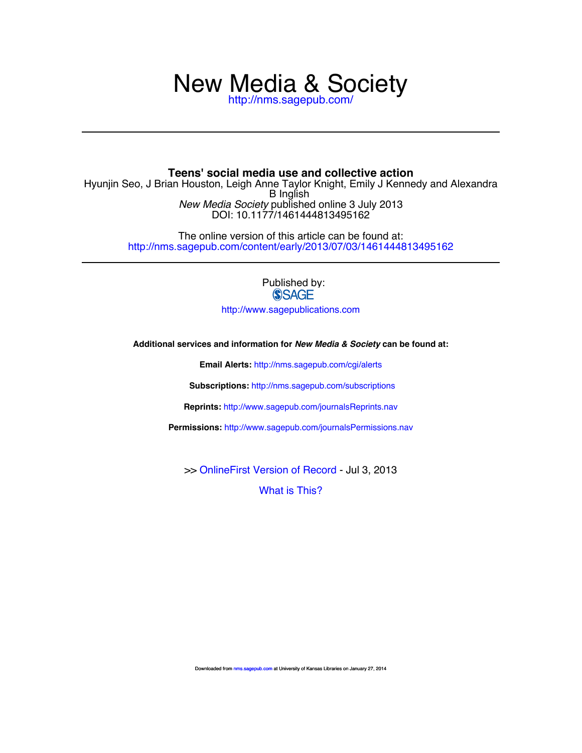# New Media & Society

http://nms.sagepub.com/

# **Teens' social media use and collective action**

DOI: 10.1177/1461444813495162 *New Media Society* published online 3 July 2013 B Inglish Hyunjin Seo, J Brian Houston, Leigh Anne Taylor Knight, Emily J Kennedy and Alexandra

> http://nms.sagepub.com/content/early/2013/07/03/1461444813495162 The online version of this article can be found at:

> > Published by:<br>
> > SAGE

http://www.sagepublications.com

**Additional services and information for** *New Media & Society* **can be found at:**

**Email Alerts:** http://nms.sagepub.com/cgi/alerts

**Subscriptions:** http://nms.sagepub.com/subscriptions

**Reprints:** http://www.sagepub.com/journalsReprints.nav

**Permissions:** http://www.sagepub.com/journalsPermissions.nav

>> OnlineFirst Version of Record - Jul 3, 2013

What is This?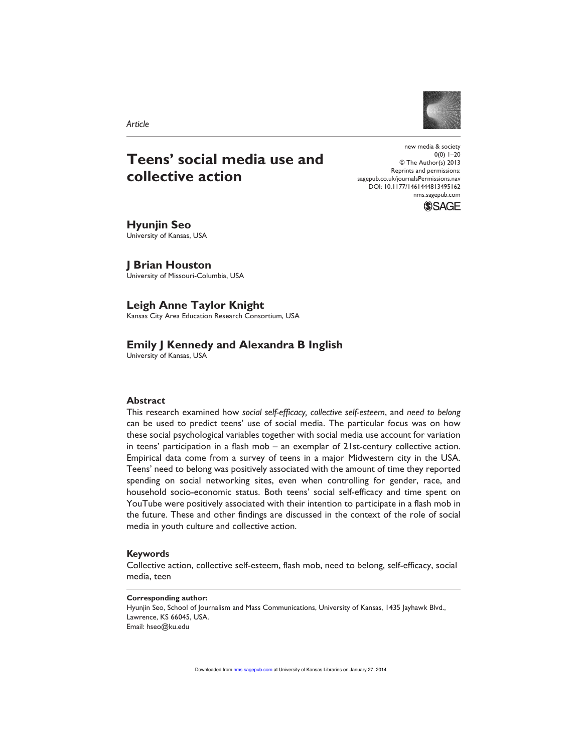

*Article*

# **Teens' social media use and collective action**

new media & society  $0(0)$  1–20 © The Author(s) 2013 Reprints and permissions: sagepub.co.uk/journalsPermissions.nav DOI: 10.1177/1461444813495162 nms.sagepub.com

#### **SSAGE**

**Hyunjin Seo** University of Kansas, USA

#### **J Brian Houston**

University of Missouri-Columbia, USA

### **Leigh Anne Taylor Knight**

Kansas City Area Education Research Consortium, USA

# **Emily J Kennedy and Alexandra B Inglish**

University of Kansas, USA

#### **Abstract**

This research examined how *social self-efficacy, collective self-esteem*, and *need to belong* can be used to predict teens' use of social media. The particular focus was on how these social psychological variables together with social media use account for variation in teens' participation in a flash mob – an exemplar of 21st-century collective action. Empirical data come from a survey of teens in a major Midwestern city in the USA. Teens' need to belong was positively associated with the amount of time they reported spending on social networking sites, even when controlling for gender, race, and household socio-economic status. Both teens' social self-efficacy and time spent on YouTube were positively associated with their intention to participate in a flash mob in the future. These and other findings are discussed in the context of the role of social media in youth culture and collective action.

#### **Keywords**

Collective action, collective self-esteem, flash mob, need to belong, self-efficacy, social media, teen

#### **Corresponding author:**

Hyunjin Seo, School of Journalism and Mass Communications, University of Kansas, 1435 Jayhawk Blvd., Lawrence, KS 66045, USA. Email: hseo@ku.edu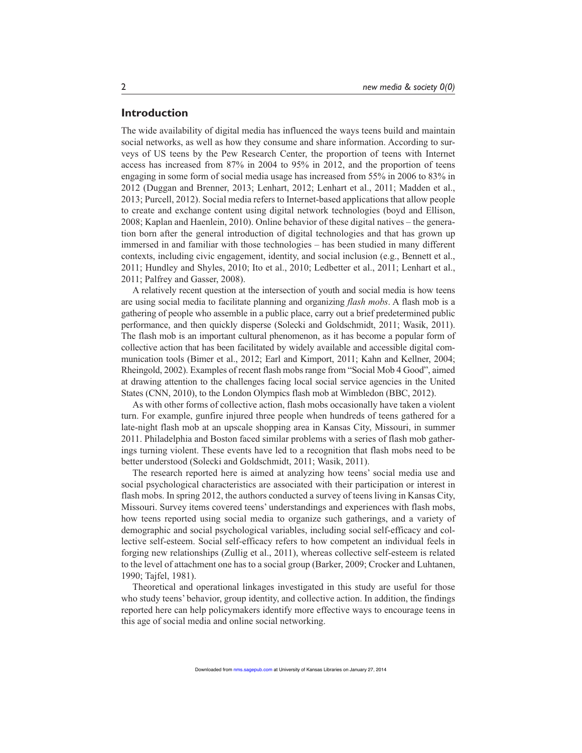#### **Introduction**

The wide availability of digital media has influenced the ways teens build and maintain social networks, as well as how they consume and share information. According to surveys of US teens by the Pew Research Center, the proportion of teens with Internet access has increased from 87% in 2004 to 95% in 2012, and the proportion of teens engaging in some form of social media usage has increased from 55% in 2006 to 83% in 2012 (Duggan and Brenner, 2013; Lenhart, 2012; Lenhart et al., 2011; Madden et al., 2013; Purcell, 2012). Social media refers to Internet-based applications that allow people to create and exchange content using digital network technologies (boyd and Ellison, 2008; Kaplan and Haenlein, 2010). Online behavior of these digital natives – the generation born after the general introduction of digital technologies and that has grown up immersed in and familiar with those technologies – has been studied in many different contexts, including civic engagement, identity, and social inclusion (e.g., Bennett et al., 2011; Hundley and Shyles, 2010; Ito et al., 2010; Ledbetter et al., 2011; Lenhart et al., 2011; Palfrey and Gasser, 2008).

A relatively recent question at the intersection of youth and social media is how teens are using social media to facilitate planning and organizing *flash mobs*. A flash mob is a gathering of people who assemble in a public place, carry out a brief predetermined public performance, and then quickly disperse (Solecki and Goldschmidt, 2011; Wasik, 2011). The flash mob is an important cultural phenomenon, as it has become a popular form of collective action that has been facilitated by widely available and accessible digital communication tools (Bimer et al., 2012; Earl and Kimport, 2011; Kahn and Kellner, 2004; Rheingold, 2002). Examples of recent flash mobs range from "Social Mob 4 Good", aimed at drawing attention to the challenges facing local social service agencies in the United States (CNN, 2010), to the London Olympics flash mob at Wimbledon (BBC, 2012).

As with other forms of collective action, flash mobs occasionally have taken a violent turn. For example, gunfire injured three people when hundreds of teens gathered for a late-night flash mob at an upscale shopping area in Kansas City, Missouri, in summer 2011. Philadelphia and Boston faced similar problems with a series of flash mob gatherings turning violent. These events have led to a recognition that flash mobs need to be better understood (Solecki and Goldschmidt, 2011; Wasik, 2011).

The research reported here is aimed at analyzing how teens' social media use and social psychological characteristics are associated with their participation or interest in flash mobs. In spring 2012, the authors conducted a survey of teens living in Kansas City, Missouri. Survey items covered teens' understandings and experiences with flash mobs, how teens reported using social media to organize such gatherings, and a variety of demographic and social psychological variables, including social self-efficacy and collective self-esteem. Social self-efficacy refers to how competent an individual feels in forging new relationships (Zullig et al., 2011), whereas collective self-esteem is related to the level of attachment one has to a social group (Barker, 2009; Crocker and Luhtanen, 1990; Tajfel, 1981).

Theoretical and operational linkages investigated in this study are useful for those who study teens' behavior, group identity, and collective action. In addition, the findings reported here can help policymakers identify more effective ways to encourage teens in this age of social media and online social networking.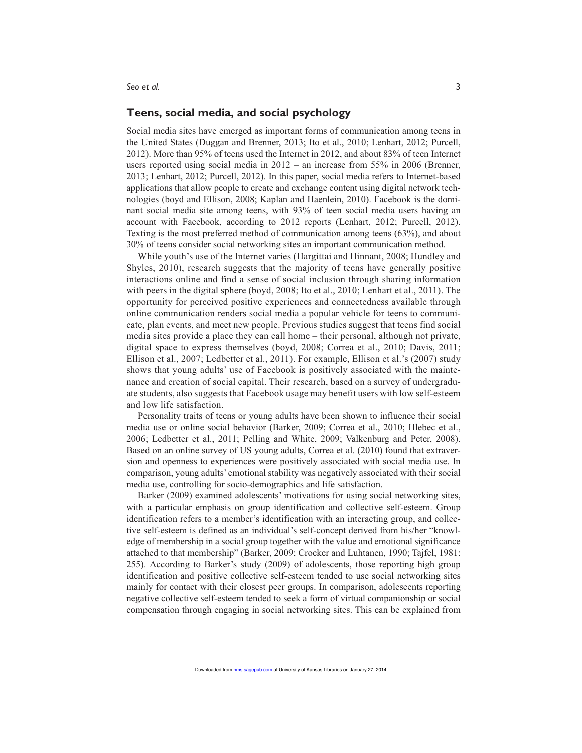#### **Teens, social media, and social psychology**

Social media sites have emerged as important forms of communication among teens in the United States (Duggan and Brenner, 2013; Ito et al., 2010; Lenhart, 2012; Purcell, 2012). More than 95% of teens used the Internet in 2012, and about 83% of teen Internet users reported using social media in 2012 – an increase from 55% in 2006 (Brenner, 2013; Lenhart, 2012; Purcell, 2012). In this paper, social media refers to Internet-based applications that allow people to create and exchange content using digital network technologies (boyd and Ellison, 2008; Kaplan and Haenlein, 2010). Facebook is the dominant social media site among teens, with 93% of teen social media users having an account with Facebook, according to 2012 reports (Lenhart, 2012; Purcell, 2012). Texting is the most preferred method of communication among teens (63%), and about 30% of teens consider social networking sites an important communication method.

While youth's use of the Internet varies (Hargittai and Hinnant, 2008; Hundley and Shyles, 2010), research suggests that the majority of teens have generally positive interactions online and find a sense of social inclusion through sharing information with peers in the digital sphere (boyd, 2008; Ito et al., 2010; Lenhart et al., 2011). The opportunity for perceived positive experiences and connectedness available through online communication renders social media a popular vehicle for teens to communicate, plan events, and meet new people. Previous studies suggest that teens find social media sites provide a place they can call home – their personal, although not private, digital space to express themselves (boyd, 2008; Correa et al., 2010; Davis, 2011; Ellison et al., 2007; Ledbetter et al., 2011). For example, Ellison et al.'s (2007) study shows that young adults' use of Facebook is positively associated with the maintenance and creation of social capital. Their research, based on a survey of undergraduate students, also suggests that Facebook usage may benefit users with low self-esteem and low life satisfaction.

Personality traits of teens or young adults have been shown to influence their social media use or online social behavior (Barker, 2009; Correa et al., 2010; Hlebec et al., 2006; Ledbetter et al., 2011; Pelling and White, 2009; Valkenburg and Peter, 2008). Based on an online survey of US young adults, Correa et al. (2010) found that extraversion and openness to experiences were positively associated with social media use. In comparison, young adults' emotional stability was negatively associated with their social media use, controlling for socio-demographics and life satisfaction.

Barker (2009) examined adolescents' motivations for using social networking sites, with a particular emphasis on group identification and collective self-esteem. Group identification refers to a member's identification with an interacting group, and collective self-esteem is defined as an individual's self-concept derived from his/her "knowledge of membership in a social group together with the value and emotional significance attached to that membership" (Barker, 2009; Crocker and Luhtanen, 1990; Tajfel, 1981: 255). According to Barker's study (2009) of adolescents, those reporting high group identification and positive collective self-esteem tended to use social networking sites mainly for contact with their closest peer groups. In comparison, adolescents reporting negative collective self-esteem tended to seek a form of virtual companionship or social compensation through engaging in social networking sites. This can be explained from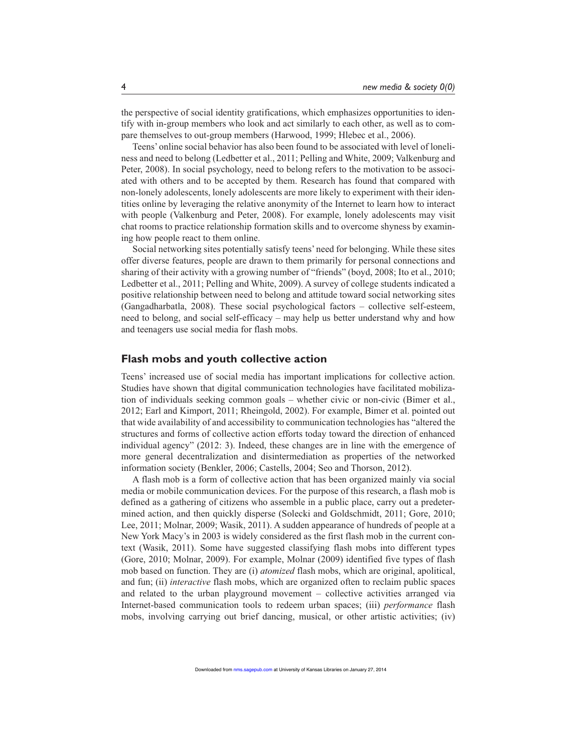the perspective of social identity gratifications, which emphasizes opportunities to identify with in-group members who look and act similarly to each other, as well as to compare themselves to out-group members (Harwood, 1999; Hlebec et al., 2006).

Teens' online social behavior has also been found to be associated with level of loneliness and need to belong (Ledbetter et al., 2011; Pelling and White, 2009; Valkenburg and Peter, 2008). In social psychology, need to belong refers to the motivation to be associated with others and to be accepted by them. Research has found that compared with non-lonely adolescents, lonely adolescents are more likely to experiment with their identities online by leveraging the relative anonymity of the Internet to learn how to interact with people (Valkenburg and Peter, 2008). For example, lonely adolescents may visit chat rooms to practice relationship formation skills and to overcome shyness by examining how people react to them online.

Social networking sites potentially satisfy teens' need for belonging. While these sites offer diverse features, people are drawn to them primarily for personal connections and sharing of their activity with a growing number of "friends" (boyd, 2008; Ito et al., 2010; Ledbetter et al., 2011; Pelling and White, 2009). A survey of college students indicated a positive relationship between need to belong and attitude toward social networking sites (Gangadharbatla, 2008). These social psychological factors – collective self-esteem, need to belong, and social self-efficacy – may help us better understand why and how and teenagers use social media for flash mobs.

#### **Flash mobs and youth collective action**

Teens' increased use of social media has important implications for collective action. Studies have shown that digital communication technologies have facilitated mobilization of individuals seeking common goals – whether civic or non-civic (Bimer et al., 2012; Earl and Kimport, 2011; Rheingold, 2002). For example, Bimer et al. pointed out that wide availability of and accessibility to communication technologies has "altered the structures and forms of collective action efforts today toward the direction of enhanced individual agency" (2012: 3). Indeed, these changes are in line with the emergence of more general decentralization and disintermediation as properties of the networked information society (Benkler, 2006; Castells, 2004; Seo and Thorson, 2012).

A flash mob is a form of collective action that has been organized mainly via social media or mobile communication devices. For the purpose of this research, a flash mob is defined as a gathering of citizens who assemble in a public place, carry out a predetermined action, and then quickly disperse (Solecki and Goldschmidt, 2011; Gore, 2010; Lee, 2011; Molnar, 2009; Wasik, 2011). A sudden appearance of hundreds of people at a New York Macy's in 2003 is widely considered as the first flash mob in the current context (Wasik, 2011). Some have suggested classifying flash mobs into different types (Gore, 2010; Molnar, 2009). For example, Molnar (2009) identified five types of flash mob based on function. They are (i) *atomized* flash mobs, which are original, apolitical, and fun; (ii) *interactive* flash mobs, which are organized often to reclaim public spaces and related to the urban playground movement – collective activities arranged via Internet-based communication tools to redeem urban spaces; (iii) *performance* flash mobs, involving carrying out brief dancing, musical, or other artistic activities; (iv)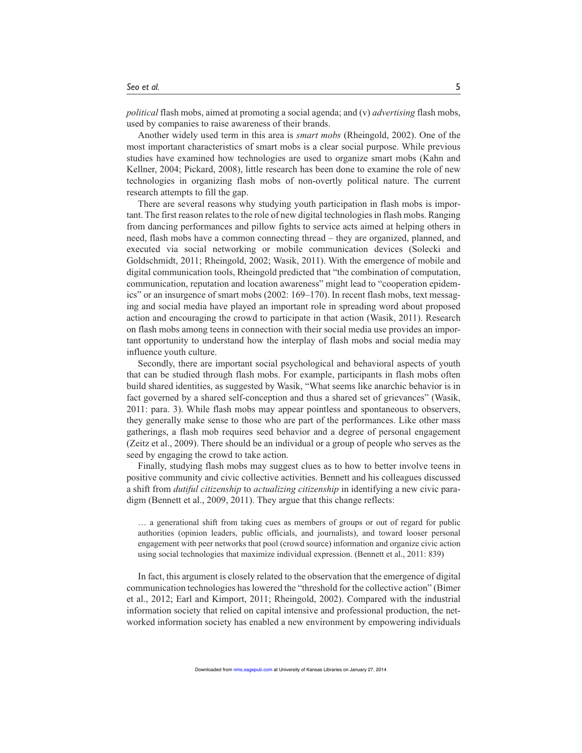*political* flash mobs, aimed at promoting a social agenda; and (v) *advertising* flash mobs, used by companies to raise awareness of their brands.

Another widely used term in this area is *smart mobs* (Rheingold, 2002). One of the most important characteristics of smart mobs is a clear social purpose. While previous studies have examined how technologies are used to organize smart mobs (Kahn and Kellner, 2004; Pickard, 2008), little research has been done to examine the role of new technologies in organizing flash mobs of non-overtly political nature. The current research attempts to fill the gap.

There are several reasons why studying youth participation in flash mobs is important. The first reason relates to the role of new digital technologies in flash mobs. Ranging from dancing performances and pillow fights to service acts aimed at helping others in need, flash mobs have a common connecting thread – they are organized, planned, and executed via social networking or mobile communication devices (Solecki and Goldschmidt, 2011; Rheingold, 2002; Wasik, 2011). With the emergence of mobile and digital communication tools, Rheingold predicted that "the combination of computation, communication, reputation and location awareness" might lead to "cooperation epidemics" or an insurgence of smart mobs (2002: 169–170). In recent flash mobs, text messaging and social media have played an important role in spreading word about proposed action and encouraging the crowd to participate in that action (Wasik, 2011). Research on flash mobs among teens in connection with their social media use provides an important opportunity to understand how the interplay of flash mobs and social media may influence youth culture.

Secondly, there are important social psychological and behavioral aspects of youth that can be studied through flash mobs. For example, participants in flash mobs often build shared identities, as suggested by Wasik, "What seems like anarchic behavior is in fact governed by a shared self-conception and thus a shared set of grievances" (Wasik, 2011: para. 3). While flash mobs may appear pointless and spontaneous to observers, they generally make sense to those who are part of the performances. Like other mass gatherings, a flash mob requires seed behavior and a degree of personal engagement (Zeitz et al., 2009). There should be an individual or a group of people who serves as the seed by engaging the crowd to take action.

Finally, studying flash mobs may suggest clues as to how to better involve teens in positive community and civic collective activities. Bennett and his colleagues discussed a shift from *dutiful citizenship* to *actualizing citizenship* in identifying a new civic paradigm (Bennett et al., 2009, 2011). They argue that this change reflects:

… a generational shift from taking cues as members of groups or out of regard for public authorities (opinion leaders, public officials, and journalists), and toward looser personal engagement with peer networks that pool (crowd source) information and organize civic action using social technologies that maximize individual expression. (Bennett et al., 2011: 839)

In fact, this argument is closely related to the observation that the emergence of digital communication technologies has lowered the "threshold for the collective action" (Bimer et al., 2012; Earl and Kimport, 2011; Rheingold, 2002). Compared with the industrial information society that relied on capital intensive and professional production, the networked information society has enabled a new environment by empowering individuals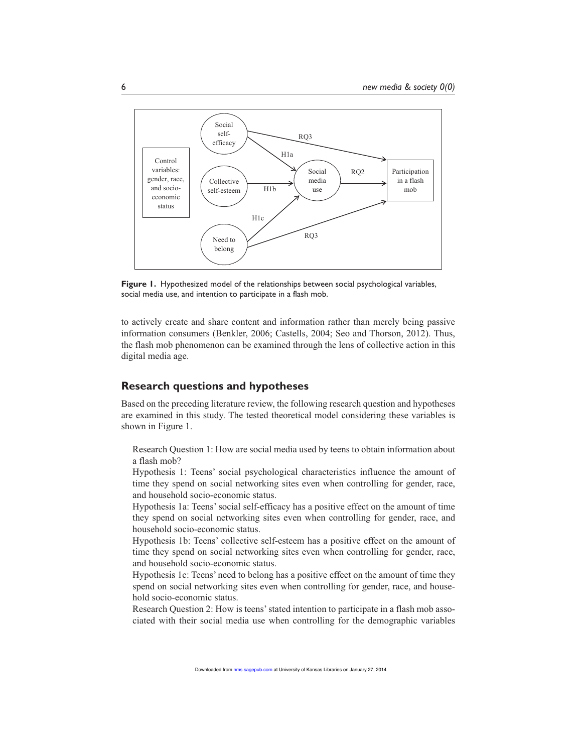

**Figure 1.** Hypothesized model of the relationships between social psychological variables, social media use, and intention to participate in a flash mob.

to actively create and share content and information rather than merely being passive information consumers (Benkler, 2006; Castells, 2004; Seo and Thorson, 2012). Thus, the flash mob phenomenon can be examined through the lens of collective action in this digital media age.

## **Research questions and hypotheses**

Based on the preceding literature review, the following research question and hypotheses are examined in this study. The tested theoretical model considering these variables is shown in Figure 1.

Research Question 1: How are social media used by teens to obtain information about a flash mob?

Hypothesis 1: Teens' social psychological characteristics influence the amount of time they spend on social networking sites even when controlling for gender, race, and household socio-economic status.

Hypothesis 1a: Teens' social self-efficacy has a positive effect on the amount of time they spend on social networking sites even when controlling for gender, race, and household socio-economic status.

Hypothesis 1b: Teens' collective self-esteem has a positive effect on the amount of time they spend on social networking sites even when controlling for gender, race, and household socio-economic status.

Hypothesis 1c: Teens' need to belong has a positive effect on the amount of time they spend on social networking sites even when controlling for gender, race, and household socio-economic status.

Research Question 2: How is teens' stated intention to participate in a flash mob associated with their social media use when controlling for the demographic variables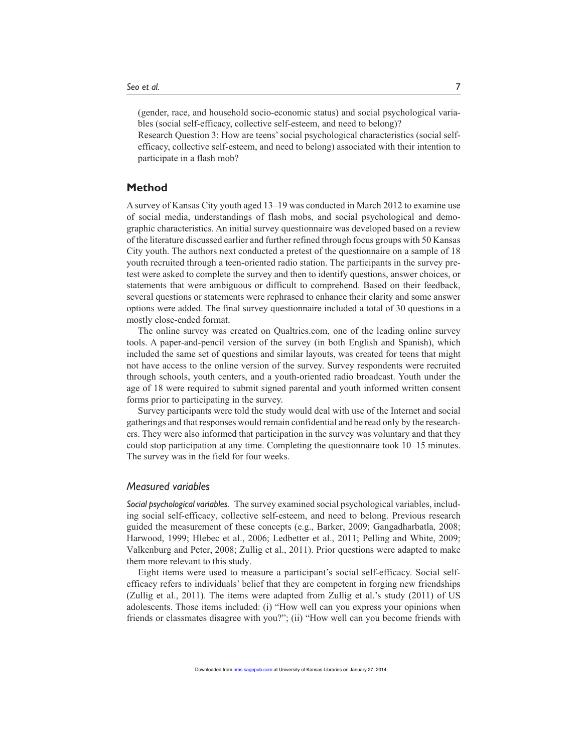(gender, race, and household socio-economic status) and social psychological variables (social self-efficacy, collective self-esteem, and need to belong)?

Research Question 3: How are teens' social psychological characteristics (social selfefficacy, collective self-esteem, and need to belong) associated with their intention to participate in a flash mob?

#### **Method**

A survey of Kansas City youth aged 13–19 was conducted in March 2012 to examine use of social media, understandings of flash mobs, and social psychological and demographic characteristics. An initial survey questionnaire was developed based on a review of the literature discussed earlier and further refined through focus groups with 50 Kansas City youth. The authors next conducted a pretest of the questionnaire on a sample of 18 youth recruited through a teen-oriented radio station. The participants in the survey pretest were asked to complete the survey and then to identify questions, answer choices, or statements that were ambiguous or difficult to comprehend. Based on their feedback, several questions or statements were rephrased to enhance their clarity and some answer options were added. The final survey questionnaire included a total of 30 questions in a mostly close-ended format.

The online survey was created on Qualtrics.com, one of the leading online survey tools. A paper-and-pencil version of the survey (in both English and Spanish), which included the same set of questions and similar layouts, was created for teens that might not have access to the online version of the survey. Survey respondents were recruited through schools, youth centers, and a youth-oriented radio broadcast. Youth under the age of 18 were required to submit signed parental and youth informed written consent forms prior to participating in the survey.

Survey participants were told the study would deal with use of the Internet and social gatherings and that responses would remain confidential and be read only by the researchers. They were also informed that participation in the survey was voluntary and that they could stop participation at any time. Completing the questionnaire took 10–15 minutes. The survey was in the field for four weeks.

#### *Measured variables*

*Social psychological variables.* The survey examined social psychological variables, including social self-efficacy, collective self-esteem, and need to belong. Previous research guided the measurement of these concepts (e.g., Barker, 2009; Gangadharbatla, 2008; Harwood, 1999; Hlebec et al., 2006; Ledbetter et al., 2011; Pelling and White, 2009; Valkenburg and Peter, 2008; Zullig et al., 2011). Prior questions were adapted to make them more relevant to this study.

Eight items were used to measure a participant's social self-efficacy. Social selfefficacy refers to individuals' belief that they are competent in forging new friendships (Zullig et al., 2011). The items were adapted from Zullig et al.'s study (2011) of US adolescents. Those items included: (i) "How well can you express your opinions when friends or classmates disagree with you?"; (ii) "How well can you become friends with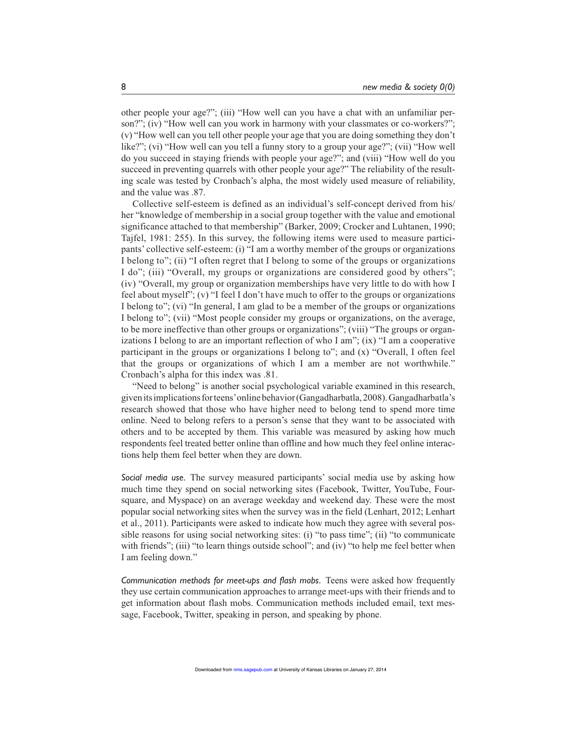other people your age?"; (iii) "How well can you have a chat with an unfamiliar person?"; (iv) "How well can you work in harmony with your classmates or co-workers?"; (v) "How well can you tell other people your age that you are doing something they don't like?"; (vi) "How well can you tell a funny story to a group your age?"; (vii) "How well do you succeed in staying friends with people your age?"; and (viii) "How well do you succeed in preventing quarrels with other people your age?" The reliability of the resulting scale was tested by Cronbach's alpha, the most widely used measure of reliability, and the value was .87.

Collective self-esteem is defined as an individual's self-concept derived from his/ her "knowledge of membership in a social group together with the value and emotional significance attached to that membership" (Barker, 2009; Crocker and Luhtanen, 1990; Tajfel, 1981: 255). In this survey, the following items were used to measure participants' collective self-esteem: (i) "I am a worthy member of the groups or organizations I belong to"; (ii) "I often regret that I belong to some of the groups or organizations I do"; (iii) "Overall, my groups or organizations are considered good by others"; (iv) "Overall, my group or organization memberships have very little to do with how I feel about myself"; (v) "I feel I don't have much to offer to the groups or organizations I belong to"; (vi) "In general, I am glad to be a member of the groups or organizations I belong to"; (vii) "Most people consider my groups or organizations, on the average, to be more ineffective than other groups or organizations"; (viii) "The groups or organizations I belong to are an important reflection of who I am"; (ix) "I am a cooperative participant in the groups or organizations I belong to"; and  $(x)$  "Overall, I often feel that the groups or organizations of which I am a member are not worthwhile." Cronbach's alpha for this index was .81.

"Need to belong" is another social psychological variable examined in this research, given its implications for teens' online behavior (Gangadharbatla, 2008). Gangadharbatla's research showed that those who have higher need to belong tend to spend more time online. Need to belong refers to a person's sense that they want to be associated with others and to be accepted by them. This variable was measured by asking how much respondents feel treated better online than offline and how much they feel online interactions help them feel better when they are down.

*Social media use.* The survey measured participants' social media use by asking how much time they spend on social networking sites (Facebook, Twitter, YouTube, Foursquare, and Myspace) on an average weekday and weekend day. These were the most popular social networking sites when the survey was in the field (Lenhart, 2012; Lenhart et al., 2011). Participants were asked to indicate how much they agree with several possible reasons for using social networking sites: (i) "to pass time"; (ii) "to communicate with friends"; (iii) "to learn things outside school"; and (iv) "to help me feel better when I am feeling down."

*Communication methods for meet-ups and flash mobs.* Teens were asked how frequently they use certain communication approaches to arrange meet-ups with their friends and to get information about flash mobs. Communication methods included email, text message, Facebook, Twitter, speaking in person, and speaking by phone.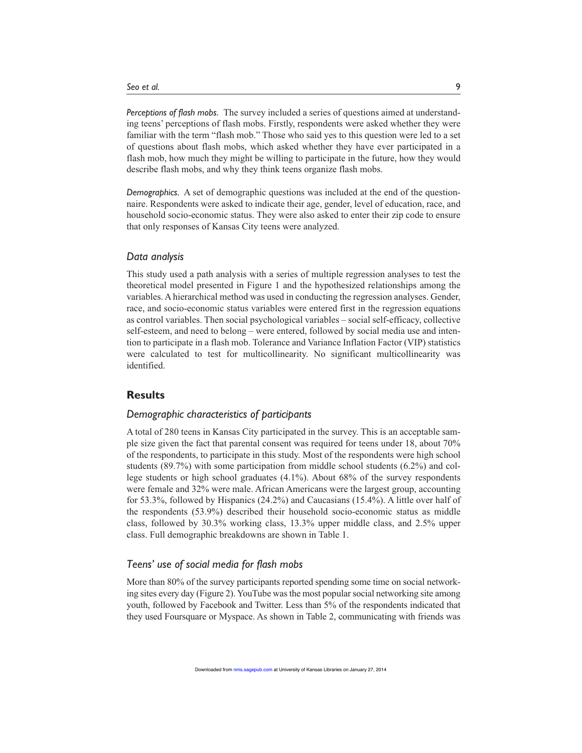*Perceptions of flash mobs.* The survey included a series of questions aimed at understanding teens' perceptions of flash mobs. Firstly, respondents were asked whether they were familiar with the term "flash mob." Those who said yes to this question were led to a set of questions about flash mobs, which asked whether they have ever participated in a flash mob, how much they might be willing to participate in the future, how they would describe flash mobs, and why they think teens organize flash mobs.

*Demographics.* A set of demographic questions was included at the end of the questionnaire. Respondents were asked to indicate their age, gender, level of education, race, and household socio-economic status. They were also asked to enter their zip code to ensure that only responses of Kansas City teens were analyzed.

#### *Data analysis*

This study used a path analysis with a series of multiple regression analyses to test the theoretical model presented in Figure 1 and the hypothesized relationships among the variables. A hierarchical method was used in conducting the regression analyses. Gender, race, and socio-economic status variables were entered first in the regression equations as control variables. Then social psychological variables – social self-efficacy, collective self-esteem, and need to belong – were entered, followed by social media use and intention to participate in a flash mob. Tolerance and Variance Inflation Factor (VIP) statistics were calculated to test for multicollinearity. No significant multicollinearity was identified.

#### **Results**

#### *Demographic characteristics of participants*

A total of 280 teens in Kansas City participated in the survey. This is an acceptable sample size given the fact that parental consent was required for teens under 18, about 70% of the respondents, to participate in this study. Most of the respondents were high school students (89.7%) with some participation from middle school students (6.2%) and college students or high school graduates (4.1%). About 68% of the survey respondents were female and 32% were male. African Americans were the largest group, accounting for 53.3%, followed by Hispanics (24.2%) and Caucasians (15.4%). A little over half of the respondents (53.9%) described their household socio-economic status as middle class, followed by 30.3% working class, 13.3% upper middle class, and 2.5% upper class. Full demographic breakdowns are shown in Table 1.

#### *Teens' use of social media for flash mobs*

More than 80% of the survey participants reported spending some time on social networking sites every day (Figure 2). YouTube was the most popular social networking site among youth, followed by Facebook and Twitter. Less than 5% of the respondents indicated that they used Foursquare or Myspace. As shown in Table 2, communicating with friends was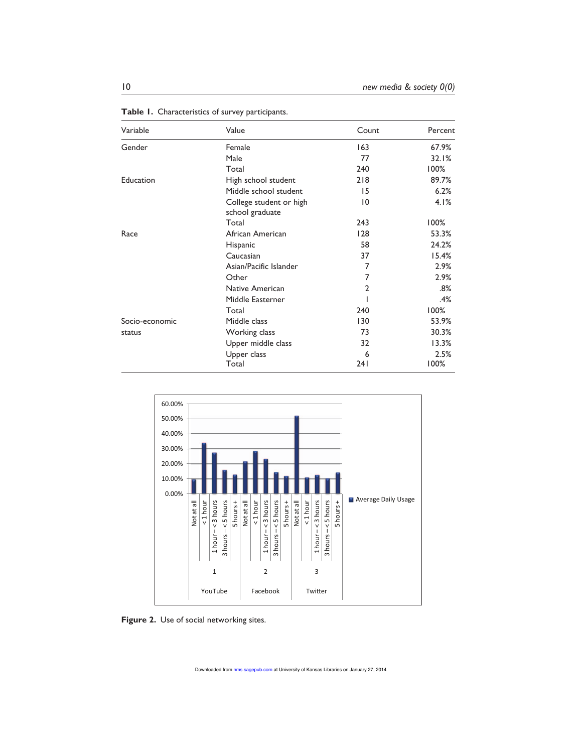| Variable       | Value                                      | Count          | Percent      |  |
|----------------|--------------------------------------------|----------------|--------------|--|
| Gender         | Female                                     | 163            | 67.9%        |  |
|                | Male                                       | 77             | 32.1%        |  |
|                | Total                                      | 240            | 100%         |  |
| Education      | High school student                        | 218            | 89.7%        |  |
|                | Middle school student                      | 15             | 6.2%         |  |
|                | College student or high<br>school graduate | 10             | 4.1%         |  |
|                | Total                                      | 243            | 100%         |  |
| Race           | African American                           | 128            | 53.3%        |  |
|                | Hispanic                                   | 58             | 24.2%        |  |
|                | Caucasian                                  | 37             | 15.4%        |  |
|                | Asian/Pacific Islander                     | 7              | 2.9%         |  |
|                | Other                                      | 7              | 2.9%         |  |
|                | Native American                            | $\overline{2}$ | .8%          |  |
|                | Middle Easterner                           |                | .4%          |  |
|                | Total                                      | 240            | 100%         |  |
| Socio-economic | Middle class                               | 130            | 53.9%        |  |
| status         | Working class                              | 73             | 30.3%        |  |
|                | Upper middle class                         | 32             | 13.3%        |  |
|                | Upper class<br>Total                       | 6<br>241       | 2.5%<br>100% |  |

**Table 1.** Characteristics of survey participants.



**Figure 2.** Use of social networking sites.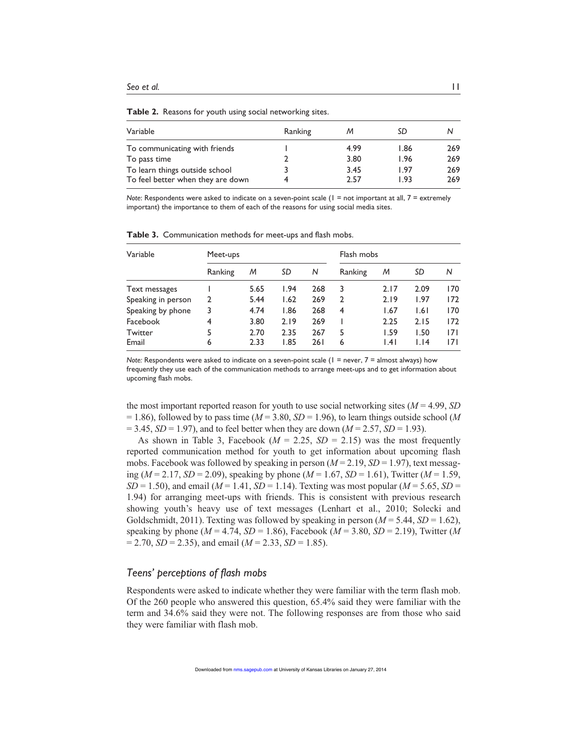| Variable                          | Ranking | м    | SD   |     |
|-----------------------------------|---------|------|------|-----|
| To communicating with friends     |         | 4.99 | 1.86 | 269 |
| To pass time                      |         | 3.80 | 1.96 | 269 |
| To learn things outside school    |         | 3.45 | 1.97 | 269 |
| To feel better when they are down |         | 2.57 | 1.93 | 269 |

**Table 2.** Reasons for youth using social networking sites.

*Note*: Respondents were asked to indicate on a seven-point scale (1 = not important at all, 7 = extremely important) the importance to them of each of the reasons for using social media sites.

| Table 3. Communication methods for meet-ups and flash mobs. |  |
|-------------------------------------------------------------|--|
|                                                             |  |

| Variable           | Meet-ups |      |      |     |                | Flash mobs |      |     |  |
|--------------------|----------|------|------|-----|----------------|------------|------|-----|--|
|                    | Ranking  | M    | SD   | N   | Ranking        | M          | SD   | N   |  |
| Text messages      |          | 5.65 | 1.94 | 268 | 3              | 2.17       | 2.09 | 170 |  |
| Speaking in person | 2        | 5.44 | 1.62 | 269 | $\overline{2}$ | 2.19       | 1.97 | 172 |  |
| Speaking by phone  | 3        | 4.74 | 1.86 | 268 | 4              | 1.67       | 1.61 | 170 |  |
| Facebook           | 4        | 3.80 | 2.19 | 269 |                | 2.25       | 2.15 | 172 |  |
| Twitter            | 5        | 2.70 | 2.35 | 267 | 5              | 1.59       | 1.50 | 171 |  |
| Email              | 6        | 2.33 | 1.85 | 261 | 6              | .4         | 1.14 | 171 |  |

*Note:* Respondents were asked to indicate on a seven-point scale (1 = never, 7 = almost always) how frequently they use each of the communication methods to arrange meet-ups and to get information about upcoming flash mobs.

the most important reported reason for youth to use social networking sites  $(M = 4.99, SD)$  $= 1.86$ ), followed by to pass time ( $M = 3.80$ ,  $SD = 1.96$ ), to learn things outside school (*M*  $= 3.45$ , *SD* = 1.97), and to feel better when they are down (*M* = 2.57, *SD* = 1.93).

As shown in Table 3, Facebook ( $M = 2.25$ ,  $SD = 2.15$ ) was the most frequently reported communication method for youth to get information about upcoming flash mobs. Facebook was followed by speaking in person  $(M = 2.19, SD = 1.97)$ , text messaging (*M* = 2.17, *SD* = 2.09), speaking by phone (*M* = 1.67, *SD* = 1.61), Twitter (*M* = 1.59, *SD* = 1.50), and email ( $M = 1.41$ , *SD* = 1.14). Texting was most popular ( $M = 5.65$ , *SD* = 1.94) for arranging meet-ups with friends. This is consistent with previous research showing youth's heavy use of text messages (Lenhart et al., 2010; Solecki and Goldschmidt, 2011). Texting was followed by speaking in person  $(M = 5.44, SD = 1.62)$ , speaking by phone ( $M = 4.74$ ,  $SD = 1.86$ ), Facebook ( $M = 3.80$ ,  $SD = 2.19$ ), Twitter ( $M$  $= 2.70$ , *SD* = 2.35), and email (*M* = 2.33, *SD* = 1.85).

#### *Teens' perceptions of flash mobs*

Respondents were asked to indicate whether they were familiar with the term flash mob. Of the 260 people who answered this question, 65.4% said they were familiar with the term and 34.6% said they were not. The following responses are from those who said they were familiar with flash mob.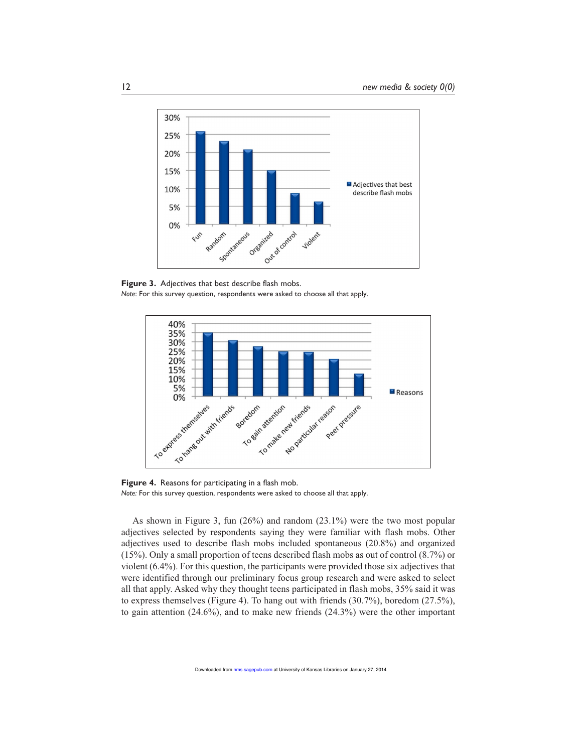

Figure 3. Adjectives that best describe flash mobs. *Note*: For this survey question, respondents were asked to choose all that apply.



**Figure 4.** Reasons for participating in a flash mob. *Note:* For this survey question, respondents were asked to choose all that apply.

As shown in Figure 3, fun (26%) and random (23.1%) were the two most popular adjectives selected by respondents saying they were familiar with flash mobs. Other adjectives used to describe flash mobs included spontaneous (20.8%) and organized (15%). Only a small proportion of teens described flash mobs as out of control (8.7%) or violent (6.4%). For this question, the participants were provided those six adjectives that were identified through our preliminary focus group research and were asked to select all that apply. Asked why they thought teens participated in flash mobs, 35% said it was to express themselves (Figure 4). To hang out with friends (30.7%), boredom (27.5%), to gain attention (24.6%), and to make new friends (24.3%) were the other important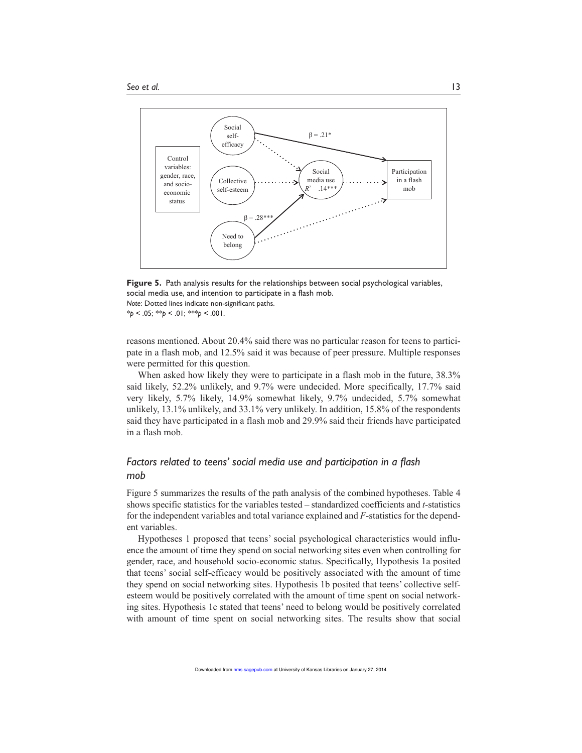

**Figure 5.** Path analysis results for the relationships between social psychological variables, social media use, and intention to participate in a flash mob. *Note*: Dotted lines indicate non-significant paths. *\*p* < .05; *\*\*p* < .01; *\*\*\*p* < .001.

reasons mentioned. About 20.4% said there was no particular reason for teens to participate in a flash mob, and 12.5% said it was because of peer pressure. Multiple responses were permitted for this question.

When asked how likely they were to participate in a flash mob in the future, 38.3% said likely, 52.2% unlikely, and 9.7% were undecided. More specifically, 17.7% said very likely, 5.7% likely, 14.9% somewhat likely, 9.7% undecided, 5.7% somewhat unlikely, 13.1% unlikely, and 33.1% very unlikely. In addition, 15.8% of the respondents said they have participated in a flash mob and 29.9% said their friends have participated in a flash mob.

# *Factors related to teens' social media use and participation in a flash mob*

Figure 5 summarizes the results of the path analysis of the combined hypotheses. Table 4 shows specific statistics for the variables tested – standardized coefficients and *t*-statistics for the independent variables and total variance explained and *F*-statistics for the dependent variables.

Hypotheses 1 proposed that teens' social psychological characteristics would influence the amount of time they spend on social networking sites even when controlling for gender, race, and household socio-economic status. Specifically, Hypothesis 1a posited that teens' social self-efficacy would be positively associated with the amount of time they spend on social networking sites. Hypothesis 1b posited that teens' collective selfesteem would be positively correlated with the amount of time spent on social networking sites. Hypothesis 1c stated that teens' need to belong would be positively correlated with amount of time spent on social networking sites. The results show that social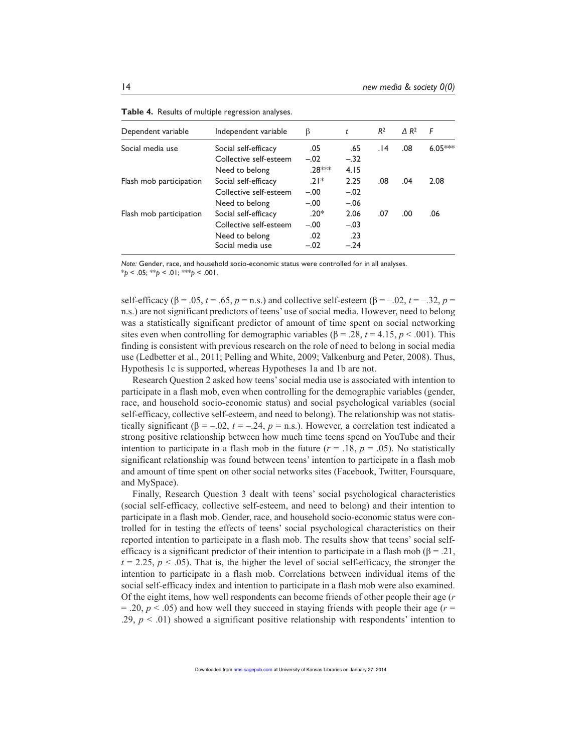| Dependent variable      | Independent variable   | β       | t      | R <sup>2</sup> | $\triangle R^2$ | F         |
|-------------------------|------------------------|---------|--------|----------------|-----------------|-----------|
| Social media use        | Social self-efficacy   | .05     | .65    | 14.            | .08             | $6.05***$ |
|                         | Collective self-esteem | $-.02$  | $-.32$ |                |                 |           |
|                         | Need to belong         | .28 *** | 4.15   |                |                 |           |
| Flash mob participation | Social self-efficacy   | $21*$   | 2.25   | .08            | .04             | 2.08      |
|                         | Collective self-esteem | $-.00$  | $-.02$ |                |                 |           |
|                         | Need to belong         | $-.00$  | $-.06$ |                |                 |           |
| Flash mob participation | Social self-efficacy   | $.20*$  | 2.06   | .07            | .00             | .06       |
|                         | Collective self-esteem | $-.00$  | $-.03$ |                |                 |           |
|                         | Need to belong         | .02     | .23    |                |                 |           |
|                         | Social media use       | $-.02$  | $-.24$ |                |                 |           |

**Table 4.** Results of multiple regression analyses.

*Note:* Gender, race, and household socio-economic status were controlled for in all analyses. \**p* < .05; \*\**p* < .01; \*\*\**p* < .001.

self-efficacy ( $\beta = .05$ ,  $t = .65$ ,  $p = n.s$ .) and collective self-esteem ( $\beta = -.02$ ,  $t = -.32$ ,  $p =$ n.s.) are not significant predictors of teens' use of social media. However, need to belong was a statistically significant predictor of amount of time spent on social networking sites even when controlling for demographic variables ( $\beta = .28$ ,  $t = 4.15$ ,  $p < .001$ ). This finding is consistent with previous research on the role of need to belong in social media use (Ledbetter et al., 2011; Pelling and White, 2009; Valkenburg and Peter, 2008). Thus, Hypothesis 1c is supported, whereas Hypotheses 1a and 1b are not.

Research Question 2 asked how teens' social media use is associated with intention to participate in a flash mob, even when controlling for the demographic variables (gender, race, and household socio-economic status) and social psychological variables (social self-efficacy, collective self-esteem, and need to belong). The relationship was not statistically significant ( $\beta = -.02$ ,  $t = -.24$ ,  $p = n.s$ .). However, a correlation test indicated a strong positive relationship between how much time teens spend on YouTube and their intention to participate in a flash mob in the future  $(r = .18, p = .05)$ . No statistically significant relationship was found between teens' intention to participate in a flash mob and amount of time spent on other social networks sites (Facebook, Twitter, Foursquare, and MySpace).

Finally, Research Question 3 dealt with teens' social psychological characteristics (social self-efficacy, collective self-esteem, and need to belong) and their intention to participate in a flash mob. Gender, race, and household socio-economic status were controlled for in testing the effects of teens' social psychological characteristics on their reported intention to participate in a flash mob. The results show that teens' social selfefficacy is a significant predictor of their intention to participate in a flash mob ( $\beta = .21$ ,  $t = 2.25$ ,  $p < .05$ ). That is, the higher the level of social self-efficacy, the stronger the intention to participate in a flash mob. Correlations between individual items of the social self-efficacy index and intention to participate in a flash mob were also examined. Of the eight items, how well respondents can become friends of other people their age (*r*  $= .20, p < .05$ ) and how well they succeed in staying friends with people their age ( $r =$ .29,  $p < .01$ ) showed a significant positive relationship with respondents' intention to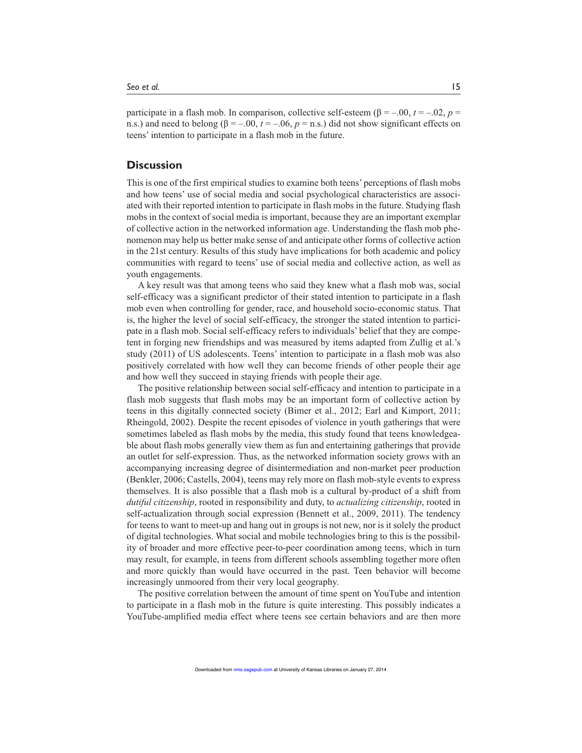participate in a flash mob. In comparison, collective self-esteem ( $\beta = -0.00$ ,  $t = -0.02$ ,  $p =$ n.s.) and need to belong ( $\beta = -0.0$ ,  $t = -0.0$ ,  $p =$  n.s.) did not show significant effects on teens' intention to participate in a flash mob in the future.

#### **Discussion**

This is one of the first empirical studies to examine both teens' perceptions of flash mobs and how teens' use of social media and social psychological characteristics are associated with their reported intention to participate in flash mobs in the future. Studying flash mobs in the context of social media is important, because they are an important exemplar of collective action in the networked information age. Understanding the flash mob phenomenon may help us better make sense of and anticipate other forms of collective action in the 21st century. Results of this study have implications for both academic and policy communities with regard to teens' use of social media and collective action, as well as youth engagements.

A key result was that among teens who said they knew what a flash mob was, social self-efficacy was a significant predictor of their stated intention to participate in a flash mob even when controlling for gender, race, and household socio-economic status. That is, the higher the level of social self-efficacy, the stronger the stated intention to participate in a flash mob. Social self-efficacy refers to individuals' belief that they are competent in forging new friendships and was measured by items adapted from Zullig et al.'s study (2011) of US adolescents. Teens' intention to participate in a flash mob was also positively correlated with how well they can become friends of other people their age and how well they succeed in staying friends with people their age.

The positive relationship between social self-efficacy and intention to participate in a flash mob suggests that flash mobs may be an important form of collective action by teens in this digitally connected society (Bimer et al., 2012; Earl and Kimport, 2011; Rheingold, 2002). Despite the recent episodes of violence in youth gatherings that were sometimes labeled as flash mobs by the media, this study found that teens knowledgeable about flash mobs generally view them as fun and entertaining gatherings that provide an outlet for self-expression. Thus, as the networked information society grows with an accompanying increasing degree of disintermediation and non-market peer production (Benkler, 2006; Castells, 2004), teens may rely more on flash mob-style events to express themselves. It is also possible that a flash mob is a cultural by-product of a shift from *dutiful citizenship*, rooted in responsibility and duty, to *actualizing citizenship*, rooted in self-actualization through social expression (Bennett et al., 2009, 2011). The tendency for teens to want to meet-up and hang out in groups is not new, nor is it solely the product of digital technologies. What social and mobile technologies bring to this is the possibility of broader and more effective peer-to-peer coordination among teens, which in turn may result, for example, in teens from different schools assembling together more often and more quickly than would have occurred in the past. Teen behavior will become increasingly unmoored from their very local geography.

The positive correlation between the amount of time spent on YouTube and intention to participate in a flash mob in the future is quite interesting. This possibly indicates a YouTube-amplified media effect where teens see certain behaviors and are then more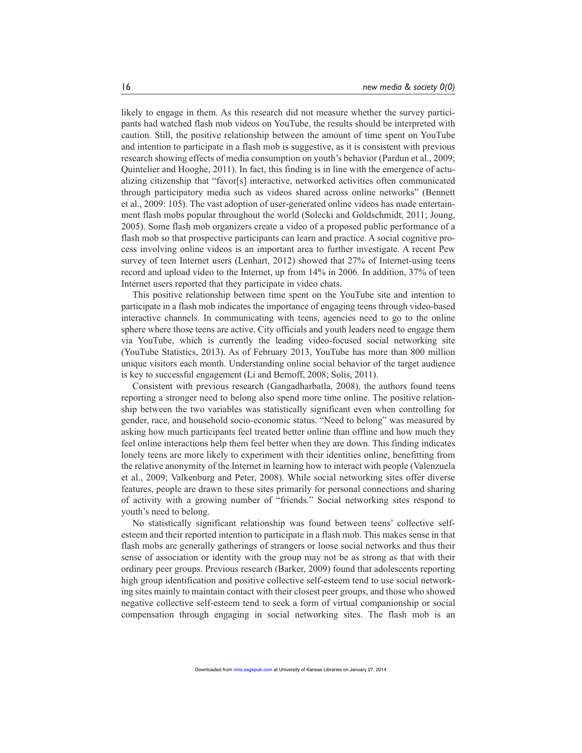likely to engage in them. As this research did not measure whether the survey participants had watched flash mob videos on YouTube, the results should be interpreted with caution. Still, the positive relationship between the amount of time spent on YouTube and intention to participate in a flash mob is suggestive, as it is consistent with previous research showing effects of media consumption on youth's behavior (Pardun et al., 2009; Quintelier and Hooghe, 2011). In fact, this finding is in line with the emergence of actualizing citizenship that "favor[s] interactive, networked activities often communicated through participatory media such as videos shared across online networks" (Bennett et al., 2009: 105). The vast adoption of user-generated online videos has made entertainment flash mobs popular throughout the world (Solecki and Goldschmidt, 2011; Joung, 2005). Some flash mob organizers create a video of a proposed public performance of a flash mob so that prospective participants can learn and practice. A social cognitive process involving online videos is an important area to further investigate. A recent Pew survey of teen Internet users (Lenhart, 2012) showed that 27% of Internet-using teens record and upload video to the Internet, up from 14% in 2006. In addition, 37% of teen Internet users reported that they participate in video chats.

This positive relationship between time spent on the YouTube site and intention to participate in a flash mob indicates the importance of engaging teens through video-based interactive channels. In communicating with teens, agencies need to go to the online sphere where those teens are active. City officials and youth leaders need to engage them via YouTube, which is currently the leading video-focused social networking site (YouTube Statistics, 2013). As of February 2013, YouTube has more than 800 million unique visitors each month. Understanding online social behavior of the target audience is key to successful engagement (Li and Bernoff, 2008; Solis, 2011).

Consistent with previous research (Gangadharbatla, 2008), the authors found teens reporting a stronger need to belong also spend more time online. The positive relationship between the two variables was statistically significant even when controlling for gender, race, and household socio-economic status. "Need to belong" was measured by asking how much participants feel treated better online than offline and how much they feel online interactions help them feel better when they are down. This finding indicates lonely teens are more likely to experiment with their identities online, benefitting from the relative anonymity of the Internet in learning how to interact with people (Valenzuela et al., 2009; Valkenburg and Peter, 2008). While social networking sites offer diverse features, people are drawn to these sites primarily for personal connections and sharing of activity with a growing number of "friends." Social networking sites respond to youth's need to belong.

No statistically significant relationship was found between teens' collective selfesteem and their reported intention to participate in a flash mob. This makes sense in that flash mobs are generally gatherings of strangers or loose social networks and thus their sense of association or identity with the group may not be as strong as that with their ordinary peer groups. Previous research (Barker, 2009) found that adolescents reporting high group identification and positive collective self-esteem tend to use social networking sites mainly to maintain contact with their closest peer groups, and those who showed negative collective self-esteem tend to seek a form of virtual companionship or social compensation through engaging in social networking sites. The flash mob is an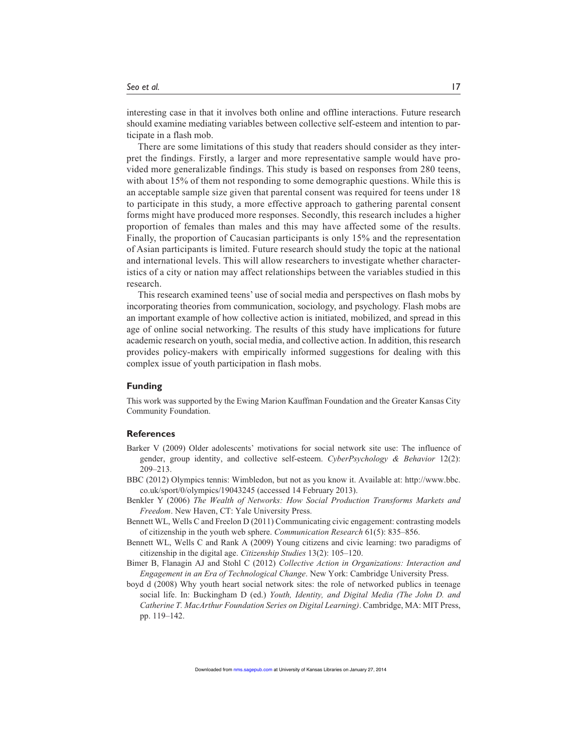interesting case in that it involves both online and offline interactions. Future research should examine mediating variables between collective self-esteem and intention to participate in a flash mob.

There are some limitations of this study that readers should consider as they interpret the findings. Firstly, a larger and more representative sample would have provided more generalizable findings. This study is based on responses from 280 teens, with about 15% of them not responding to some demographic questions. While this is an acceptable sample size given that parental consent was required for teens under 18 to participate in this study, a more effective approach to gathering parental consent forms might have produced more responses. Secondly, this research includes a higher proportion of females than males and this may have affected some of the results. Finally, the proportion of Caucasian participants is only 15% and the representation of Asian participants is limited. Future research should study the topic at the national and international levels. This will allow researchers to investigate whether characteristics of a city or nation may affect relationships between the variables studied in this research.

This research examined teens' use of social media and perspectives on flash mobs by incorporating theories from communication, sociology, and psychology. Flash mobs are an important example of how collective action is initiated, mobilized, and spread in this age of online social networking. The results of this study have implications for future academic research on youth, social media, and collective action. In addition, this research provides policy-makers with empirically informed suggestions for dealing with this complex issue of youth participation in flash mobs.

#### **Funding**

This work was supported by the Ewing Marion Kauffman Foundation and the Greater Kansas City Community Foundation.

#### **References**

- Barker V (2009) Older adolescents' motivations for social network site use: The influence of gender, group identity, and collective self-esteem. *CyberPsychology & Behavior* 12(2): 209–213.
- BBC (2012) Olympics tennis: Wimbledon, but not as you know it. Available at: http://www.bbc. co.uk/sport/0/olympics/19043245 (accessed 14 February 2013).
- Benkler Y (2006) *The Wealth of Networks: How Social Production Transforms Markets and Freedom*. New Haven, CT: Yale University Press.
- Bennett WL, Wells C and Freelon D (2011) Communicating civic engagement: contrasting models of citizenship in the youth web sphere. *Communication Research* 61(5): 835–856.
- Bennett WL, Wells C and Rank A (2009) Young citizens and civic learning: two paradigms of citizenship in the digital age. *Citizenship Studies* 13(2): 105–120.
- Bimer B, Flanagin AJ and Stohl C (2012) *Collective Action in Organizations: Interaction and Engagement in an Era of Technological Change*. New York: Cambridge University Press.
- boyd d (2008) Why youth heart social network sites: the role of networked publics in teenage social life. In: Buckingham D (ed.) *Youth, Identity, and Digital Media (The John D. and Catherine T. MacArthur Foundation Series on Digital Learning)*. Cambridge, MA: MIT Press, pp. 119–142.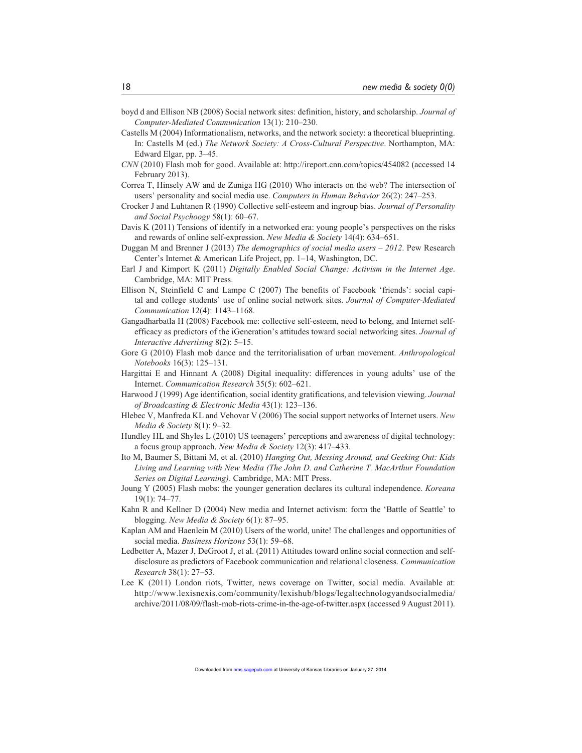- boyd d and Ellison NB (2008) Social network sites: definition, history, and scholarship. *Journal of Computer-Mediated Communication* 13(1): 210–230.
- Castells M (2004) Informationalism, networks, and the network society: a theoretical blueprinting. In: Castells M (ed.) *The Network Society: A Cross-Cultural Perspective*. Northampton, MA: Edward Elgar, pp. 3–45.
- *CNN* (2010) Flash mob for good. Available at: http://ireport.cnn.com/topics/454082 (accessed 14 February 2013).
- Correa T, Hinsely AW and de Zuniga HG (2010) Who interacts on the web? The intersection of users' personality and social media use. *Computers in Human Behavior* 26(2): 247–253.
- Crocker J and Luhtanen R (1990) Collective self-esteem and ingroup bias. *Journal of Personality and Social Psychoogy* 58(1): 60–67.
- Davis K (2011) Tensions of identify in a networked era: young people's perspectives on the risks and rewards of online self-expression. *New Media & Society* 14(4): 634–651.
- Duggan M and Brenner J (2013) *The demographics of social media users 2012*. Pew Research Center's Internet & American Life Project, pp. 1–14, Washington, DC.
- Earl J and Kimport K (2011) *Digitally Enabled Social Change: Activism in the Internet Age*. Cambridge, MA: MIT Press.
- Ellison N, Steinfield C and Lampe C (2007) The benefits of Facebook 'friends': social capital and college students' use of online social network sites. *Journal of Computer-Mediated Communication* 12(4): 1143–1168.
- Gangadharbatla H (2008) Facebook me: collective self-esteem, need to belong, and Internet selfefficacy as predictors of the iGeneration's attitudes toward social networking sites. *Journal of Interactive Advertising* 8(2): 5–15.
- Gore G (2010) Flash mob dance and the territorialisation of urban movement. *Anthropological Notebooks* 16(3): 125–131.
- Hargittai E and Hinnant A (2008) Digital inequality: differences in young adults' use of the Internet. *Communication Research* 35(5): 602–621.
- Harwood J (1999) Age identification, social identity gratifications, and television viewing. *Journal of Broadcasting & Electronic Media* 43(1): 123–136.
- Hlebec V, Manfreda KL and Vehovar V (2006) The social support networks of Internet users. *New Media & Society* 8(1): 9–32.
- Hundley HL and Shyles L (2010) US teenagers' perceptions and awareness of digital technology: a focus group approach. *New Media & Society* 12(3): 417–433.
- Ito M, Baumer S, Bittani M, et al. (2010) *Hanging Out, Messing Around, and Geeking Out: Kids Living and Learning with New Media (The John D. and Catherine T. MacArthur Foundation Series on Digital Learning)*. Cambridge, MA: MIT Press.
- Joung Y (2005) Flash mobs: the younger generation declares its cultural independence. *Koreana* 19(1): 74–77.
- Kahn R and Kellner D (2004) New media and Internet activism: form the 'Battle of Seattle' to blogging. *New Media & Society* 6(1): 87–95.
- Kaplan AM and Haenlein M (2010) Users of the world, unite! The challenges and opportunities of social media. *Business Horizons* 53(1): 59–68.
- Ledbetter A, Mazer J, DeGroot J, et al. (2011) Attitudes toward online social connection and selfdisclosure as predictors of Facebook communication and relational closeness. *Communication Research* 38(1): 27–53.
- Lee K (2011) London riots, Twitter, news coverage on Twitter, social media. Available at: http://www.lexisnexis.com/community/lexishub/blogs/legaltechnologyandsocialmedia/ archive/2011/08/09/flash-mob-riots-crime-in-the-age-of-twitter.aspx (accessed 9 August 2011).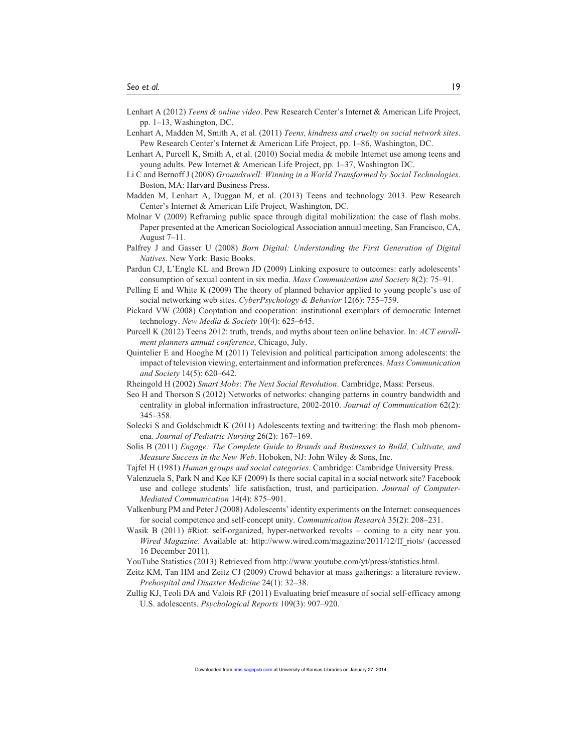- Lenhart A (2012) *Teens & online video*. Pew Research Center's Internet & American Life Project, pp. 1–13, Washington, DC.
- Lenhart A, Madden M, Smith A, et al. (2011) *Teens, kindness and cruelty on social network sites*. Pew Research Center's Internet & American Life Project, pp. 1–86, Washington, DC.
- Lenhart A, Purcell K, Smith A, et al. (2010) Social media & mobile Internet use among teens and young adults. Pew Internet & American Life Project, pp. 1–37, Washington DC.
- Li C and Bernoff J (2008) *Groundswell: Winning in a World Transformed by Social Technologies*. Boston, MA: Harvard Business Press.
- Madden M, Lenhart A, Duggan M, et al. (2013) Teens and technology 2013. Pew Research Center's Internet & American Life Project, Washington, DC.
- Molnar V (2009) Reframing public space through digital mobilization: the case of flash mobs. Paper presented at the American Sociological Association annual meeting, San Francisco, CA, August 7–11.
- Palfrey J and Gasser U (2008) *Born Digital: Understanding the First Generation of Digital Natives*. New York: Basic Books.
- Pardun CJ, L'Engle KL and Brown JD (2009) Linking exposure to outcomes: early adolescents' consumption of sexual content in six media. *Mass Communication and Society* 8(2): 75–91.
- Pelling E and White K (2009) The theory of planned behavior applied to young people's use of social networking web sites. *CyberPsychology & Behavior* 12(6): 755–759.
- Pickard VW (2008) Cooptation and cooperation: institutional exemplars of democratic Internet technology. *New Media & Society* 10(4): 625–645.
- Purcell K (2012) Teens 2012: truth, trends, and myths about teen online behavior. In: *ACT enrollment planners annual conference*, Chicago, July.
- Quintelier E and Hooghe M (2011) Television and political participation among adolescents: the impact of television viewing, entertainment and information preferences. *Mass Communication and Society* 14(5): 620–642.
- Rheingold H (2002) *Smart Mobs*: *The Next Social Revolution*. Cambridge, Mass: Perseus.
- Seo H and Thorson S (2012) Networks of networks: changing patterns in country bandwidth and centrality in global information infrastructure, 2002-2010. *Journal of Communication* 62(2): 345–358.
- Solecki S and Goldschmidt K (2011) Adolescents texting and twittering: the flash mob phenomena. *Journal of Pediatric Nursing* 26(2): 167–169.
- Solis B (2011) *Engage: The Complete Guide to Brands and Businesses to Build, Cultivate, and Measure Success in the New Web*. Hoboken, NJ: John Wiley & Sons, Inc.
- Tajfel H (1981) *Human groups and social categories*. Cambridge: Cambridge University Press.
- Valenzuela S, Park N and Kee KF (2009) Is there social capital in a social network site? Facebook use and college students' life satisfaction, trust, and participation. *Journal of Computer-Mediated Communication* 14(4): 875–901.
- Valkenburg PM and Peter J (2008) Adolescents' identity experiments on the Internet: consequences for social competence and self-concept unity. *Communication Research* 35(2): 208–231.
- Wasik B (2011) #Riot: self-organized, hyper-networked revolts coming to a city near you. *Wired Magazine*. Available at: http://www.wired.com/magazine/2011/12/ff\_riots/ (accessed 16 December 2011).
- YouTube Statistics (2013) Retrieved from http://www.youtube.com/yt/press/statistics.html.
- Zeitz KM, Tan HM and Zeitz CJ (2009) Crowd behavior at mass gatherings: a literature review. *Prehospital and Disaster Medicine* 24(1): 32–38.
- Zullig KJ, Teoli DA and Valois RF (2011) Evaluating brief measure of social self-efficacy among U.S. adolescents. *Psychological Reports* 109(3): 907–920.